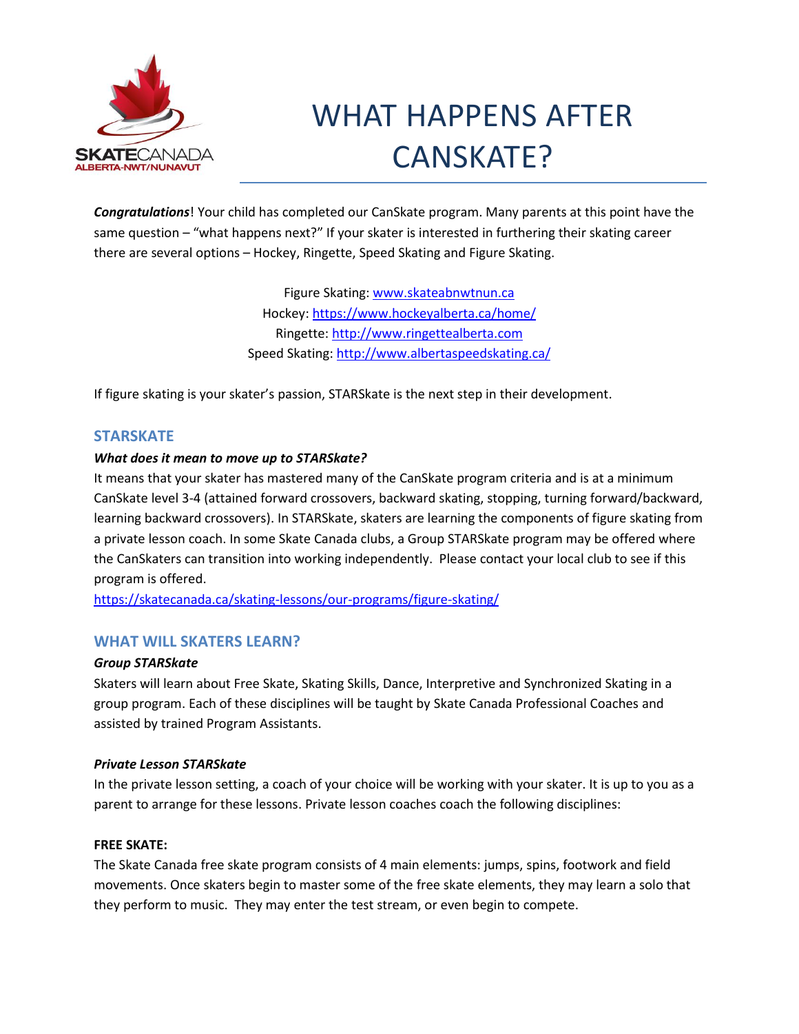

# WHAT HAPPENS AFTER CANSKATE?

*Congratulations*! Your child has completed our CanSkate program. Many parents at this point have the same question – "what happens next?" If your skater is interested in furthering their skating career there are several options – Hockey, Ringette, Speed Skating and Figure Skating.

> Figure Skating: [www.skateabnwtnun.ca](http://www.skateabnwtnun.ca/) Hockey[: https://www.hockeyalberta.ca/home/](https://www.hockeyalberta.ca/home/) Ringette: [http://www.ringettealberta.com](http://www.ringettealberta.com/) Speed Skating:<http://www.albertaspeedskating.ca/>

If figure skating is your skater's passion, STARSkate is the next step in their development.

# **STARSKATE**

## *What does it mean to move up to STARSkate?*

It means that your skater has mastered many of the CanSkate program criteria and is at a minimum CanSkate level 3-4 (attained forward crossovers, backward skating, stopping, turning forward/backward, learning backward crossovers). In STARSkate, skaters are learning the components of figure skating from a private lesson coach. In some Skate Canada clubs, a Group STARSkate program may be offered where the CanSkaters can transition into working independently. Please contact your local club to see if this program is offered.

<https://skatecanada.ca/skating-lessons/our-programs/figure-skating/>

# **WHAT WILL SKATERS LEARN?**

## *Group STARSkate*

Skaters will learn about Free Skate, Skating Skills, Dance, Interpretive and Synchronized Skating in a group program. Each of these disciplines will be taught by Skate Canada Professional Coaches and assisted by trained Program Assistants.

## *Private Lesson STARSkate*

In the private lesson setting, a coach of your choice will be working with your skater. It is up to you as a parent to arrange for these lessons. Private lesson coaches coach the following disciplines:

## **FREE SKATE:**

The Skate Canada free skate program consists of 4 main elements: jumps, spins, footwork and field movements. Once skaters begin to master some of the free skate elements, they may learn a solo that they perform to music. They may enter the test stream, or even begin to compete.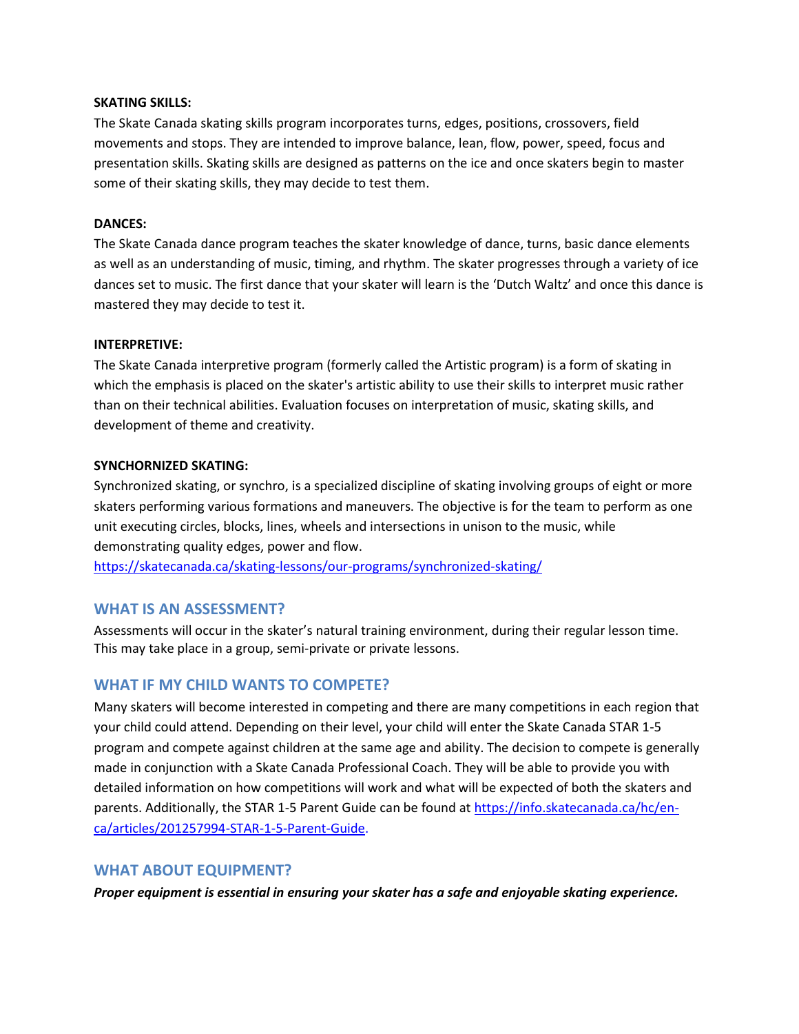#### **SKATING SKILLS:**

The Skate Canada skating skills program incorporates turns, edges, positions, crossovers, field movements and stops. They are intended to improve balance, lean, flow, power, speed, focus and presentation skills. Skating skills are designed as patterns on the ice and once skaters begin to master some of their skating skills, they may decide to test them.

### **DANCES:**

The Skate Canada dance program teaches the skater knowledge of dance, turns, basic dance elements as well as an understanding of music, timing, and rhythm. The skater progresses through a variety of ice dances set to music. The first dance that your skater will learn is the 'Dutch Waltz' and once this dance is mastered they may decide to test it.

#### **INTERPRETIVE:**

The Skate Canada interpretive program (formerly called the Artistic program) is a form of skating in which the emphasis is placed on the skater's artistic ability to use their skills to interpret music rather than on their technical abilities. Evaluation focuses on interpretation of music, skating skills, and development of theme and creativity.

#### **SYNCHORNIZED SKATING:**

Synchronized skating, or synchro, is a specialized discipline of skating involving groups of eight or more skaters performing various formations and maneuvers. The objective is for the team to perform as one unit executing circles, blocks, lines, wheels and intersections in unison to the music, while demonstrating quality edges, power and flow.

<https://skatecanada.ca/skating-lessons/our-programs/synchronized-skating/>

# **WHAT IS AN ASSESSMENT?**

Assessments will occur in the skater's natural training environment, during their regular lesson time. This may take place in a group, semi-private or private lessons.

# **WHAT IF MY CHILD WANTS TO COMPETE?**

Many skaters will become interested in competing and there are many competitions in each region that your child could attend. Depending on their level, your child will enter the Skate Canada STAR 1-5 program and compete against children at the same age and ability. The decision to compete is generally made in conjunction with a Skate Canada Professional Coach. They will be able to provide you with detailed information on how competitions will work and what will be expected of both the skaters and parents. Additionally, the STAR 1-5 Parent Guide can be found at [https://info.skatecanada.ca/hc/en](https://info.skatecanada.ca/hc/en-ca/articles/201257994-STAR-1-5-Parent-Guide)[ca/articles/201257994-STAR-1-5-Parent-Guide.](https://info.skatecanada.ca/hc/en-ca/articles/201257994-STAR-1-5-Parent-Guide)

## **WHAT ABOUT EQUIPMENT?**

*Proper equipment is essential in ensuring your skater has a safe and enjoyable skating experience.*